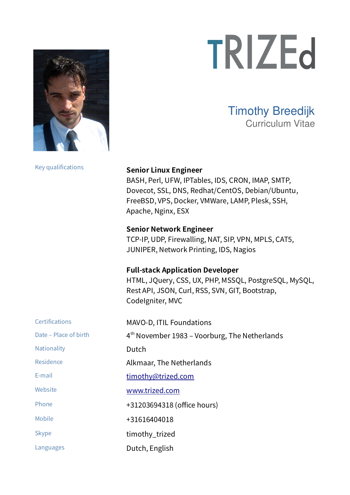

## Timothy Breedijk Curriculum Vitae

Key qualifications **Senior Linux Engineer**

BASH, Perl, UFW, IPTables, IDS, CRON, IMAP, SMTP, Dovecot, SSL, DNS, Redhat/CentOS, Debian/Ubuntu, FreeBSD, VPS, Docker, VMWare, LAMP, Plesk, SSH, Apache, Nginx, ESX

**Senior Network Engineer**  TCP-IP, UDP, Firewalling, NAT, SIP, VPN, MPLS, CAT5, JUNIPER, Network Printing, IDS, Nagios

#### **Full-stack Application Developer**

HTML, JQuery, CSS, UX, PHP, MSSQL, PostgreSQL, MySQL, Rest API, JSON, Curl, RSS, SVN, GIT, Bootstrap, CodeIgniter, MVC

| <b>Certifications</b> | MAVO-D, ITIL Foundations                        |
|-----------------------|-------------------------------------------------|
| Date - Place of birth | $4th$ November 1983 – Voorburg, The Netherlands |
| Nationality           | Dutch                                           |
| Residence             | Alkmaar, The Netherlands                        |
| E-mail                | timothy@trized.com                              |
| Website               | www.trized.com                                  |
| Phone                 | +31203694318 (office hours)                     |
| Mobile                | +31616404018                                    |
| <b>Skype</b>          | timothy_trized                                  |
| Languages             | Dutch, English                                  |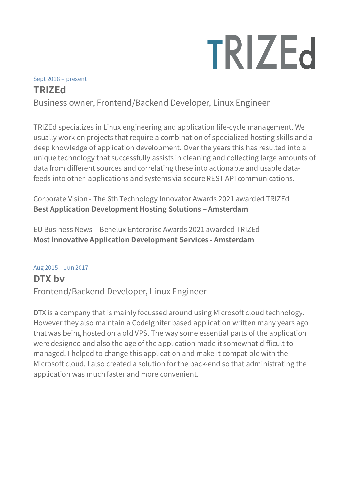# Sept 2018 – present **TRIZEd**

Business owner, Frontend/Backend Developer, Linux Engineer

TRIZEd specializes in Linux engineering and application life-cycle management. We usually work on projects that require a combination of specialized hosting skills and a deep knowledge of application development. Over the years this has resulted into a unique technology that successfully assists in cleaning and collecting large amounts of data from different sources and correlating these into actionable and usable datafeeds into other applications and systems via secure REST API communications.

Corporate Vision - The 6th Technology Innovator Awards 2021 awarded TRIZEd **Best Application Development Hosting Solutions – Amsterdam**

EU Business News – Benelux Enterprise Awards 2021 awarded TRIZEd **Most innovative Application Development Services - Amsterdam**

#### Aug 2015 – Jun 2017

## **DTX bv** Frontend/Backend Developer, Linux Engineer

DTX is a company that is mainly focussed around using Microsoft cloud technology. However they also maintain a CodeIgniter based application written many years ago that was being hosted on a old VPS. The way some essential parts of the application were designed and also the age of the application made it somewhat difficult to managed. I helped to change this application and make it compatible with the Microsoft cloud. I also created a solution for the back-end so that administrating the application was much faster and more convenient.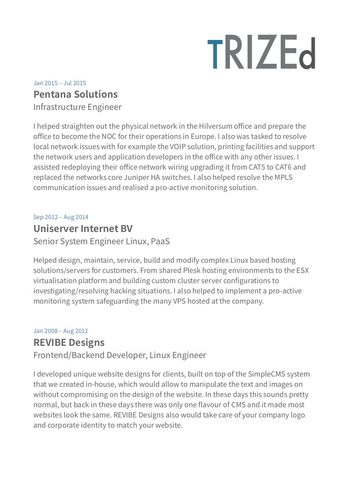## Jan 2015 – Jul 2015 **Pentana Solutions**

Infrastructure Engineer

I helped straighten out the physical network in the Hilversum office and prepare the office to become the NOC for their operations in Europe. I also was tasked to resolve local network issues with for example the VOIP solution, printing facilities and support the network users and application developers in the office with any other issues. I assisted redeploying their office network wiring upgrading it from CAT5 to CAT6 and replaced the networks core Juniper HA switches. I also helped resolve the MPLS communication issues and realised a pro-active monitoring solution.

Sep 2012 – Aug 2014

### **Uniserver Internet BV**

Senior System Engineer Linux, PaaS

Helped design, maintain, service, build and modify complex Linux based hosting solutions/servers for customers. From shared Plesk hosting environments to the ESX virtualisation platform and building custom cluster server configurations to investigating/resolving hacking situations. I also helped to implement a pro-active monitoring system safeguarding the many VPS hosted at the company.

#### Jan 2008 – Aug 2012

### **REVIBE Designs**

Frontend/Backend Developer, Linux Engineer

I developed unique website designs for clients, built on top of the SimpleCMS system that we created in-house, which would allow to manipulate the text and images on without compromising on the design of the website. In these days this sounds pretty normal, but back in these days there was only one flavour of CMS and it made most websites look the same. REVIBE Designs also would take care of your company logo and corporate identity to match your website.